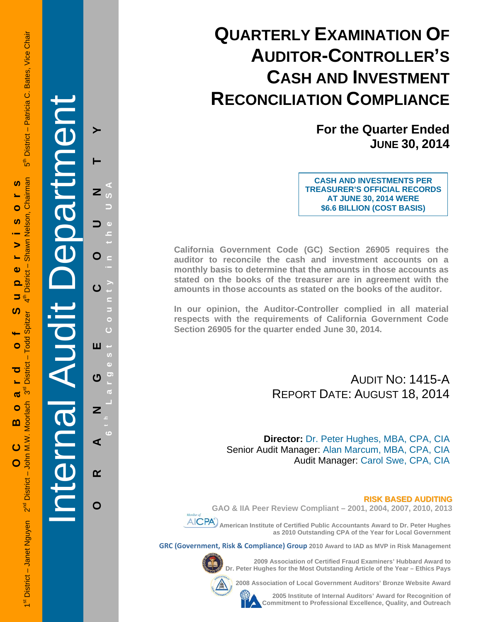# **QUARTERLY EXAMINATION OF AUDITOR-CONTROLLER'S CASH AND INVESTMENT RECONCILIATION COMPLIANCE**

**For the Quarter Ended JUNE 30, 2014**

**CASH AND INVESTMENTS PER TREASURER'S OFFICIAL RECORDS AT JUNE 30, 2014 WERE \$6.6 BILLION (COST BASIS)**

**California Government Code (GC) Section 26905 requires the auditor to reconcile the cash and investment accounts on a monthly basis to determine that the amounts in those accounts as stated on the books of the treasurer are in agreement with the amounts in those accounts as stated on the books of the auditor.** 

**In our opinion, the Auditor-Controller complied in all material respects with the requirements of California Government Code Section 26905 for the quarter ended June 30, 2014.** 

## AUDIT NO: 1415-A REPORT DATE: AUGUST 18, 2014

**Director:** Dr. Peter Hughes, MBA, CPA, CIA Senior Audit Manager: Alan Marcum, MBA, CPA, CIA Audit Manager: Carol Swe, CPA, CIA

#### **RISK BASED AUDITING**

**GAO & IIA Peer Review Compliant – 2001, 2004, 2007, 2010, 2013** 



 **American Institute of Certified Public Accountants Award to Dr. Peter Hughes as 2010 Outstanding CPA of the Year for Local Government** 

**GRC (Government, Risk & Compliance) Group 2010 Award to IAD as MVP in Risk Management** 



**2009 Association of Certified Fraud Examiners' Hubbard Award to Dr. Peter Hughes for the Most Outstanding Article of the Year – Ethics Pays** 

**2008 Association of Local Government Auditors' Bronze Website Award** 



**2005 Institute of Internal Auditors' Award for Recognition of Commitment to Professional Excellence, Quality, and Outreach**

Internal Audit Department

**ORANGE COUNTY 6 t h Lar**

ш

ෆ

Z

⋖

 $\alpha$ 

O

**g**

**est Count**

**y in the USA** 

Z

O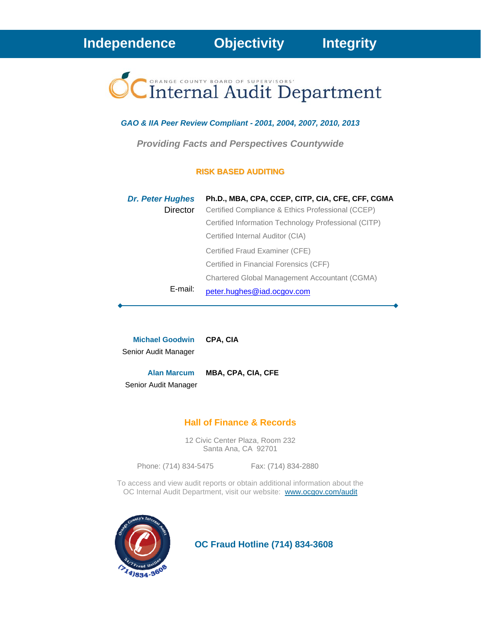

### *GAO & IIA Peer Review Compliant - 2001, 2004, 2007, 2010, 2013*

*Providing Facts and Perspectives Countywide* 

#### **RISK BASED AUDITING**

| <b>Dr. Peter Hughes</b> | Ph.D., MBA, CPA, CCEP, CITP, CIA, CFE, CFF, CGMA     |
|-------------------------|------------------------------------------------------|
| Director                | Certified Compliance & Ethics Professional (CCEP)    |
|                         | Certified Information Technology Professional (CITP) |
|                         | Certified Internal Auditor (CIA)                     |
|                         | Certified Fraud Examiner (CFE)                       |
|                         | Certified in Financial Forensics (CFF)               |
|                         | Chartered Global Management Accountant (CGMA)        |
| E-mail:                 | peter.hughes@iad.ocgov.com                           |

**Michael Goodwin CPA, CIA** Senior Audit Manager

**Alan Marcum MBA, CPA, CIA, CFE**

Senior Audit Manager

## **Hall of Finance & Records**

12 Civic Center Plaza, Room 232 Santa Ana, CA 92701

Phone: (714) 834-5475 Fax: (714) 834-2880

To access and view audit reports or obtain additional information about the OC Internal Audit Department, visit our website: www.ocgov.com/audit



 **OC Fraud Hotline (714) 834-3608**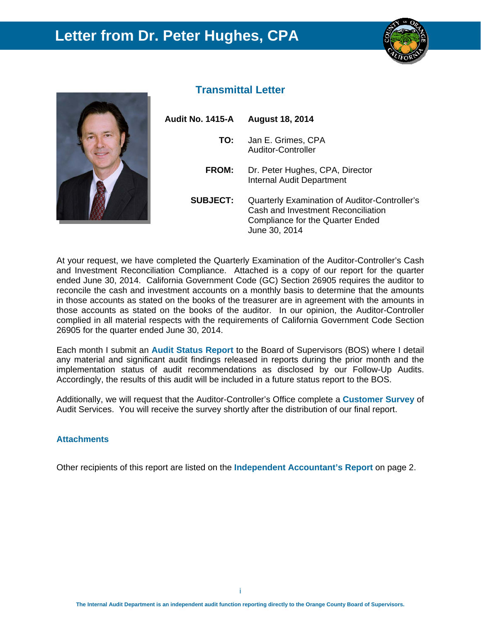## **Letter from Dr. Peter Hughes, CPA**





## **Transmittal Letter**

| Audit No. 1415-A | <b>August 18, 2014</b>                                                                                                                          |
|------------------|-------------------------------------------------------------------------------------------------------------------------------------------------|
| TO:              | Jan E. Grimes, CPA<br>Auditor-Controller                                                                                                        |
| <b>FROM:</b>     | Dr. Peter Hughes, CPA, Director<br><b>Internal Audit Department</b>                                                                             |
| <b>SUBJECT:</b>  | Quarterly Examination of Auditor-Controller's<br>Cash and Investment Reconciliation<br><b>Compliance for the Quarter Ended</b><br>June 30, 2014 |

At your request, we have completed the Quarterly Examination of the Auditor-Controller's Cash and Investment Reconciliation Compliance. Attached is a copy of our report for the quarter ended June 30, 2014. California Government Code (GC) Section 26905 requires the auditor to reconcile the cash and investment accounts on a monthly basis to determine that the amounts in those accounts as stated on the books of the treasurer are in agreement with the amounts in those accounts as stated on the books of the auditor. In our opinion, the Auditor-Controller complied in all material respects with the requirements of California Government Code Section 26905 for the quarter ended June 30, 2014.

Each month I submit an **Audit Status Report** to the Board of Supervisors (BOS) where I detail any material and significant audit findings released in reports during the prior month and the implementation status of audit recommendations as disclosed by our Follow-Up Audits. Accordingly, the results of this audit will be included in a future status report to the BOS.

Additionally, we will request that the Auditor-Controller's Office complete a **Customer Survey** of Audit Services. You will receive the survey shortly after the distribution of our final report.

#### **Attachments**

Other recipients of this report are listed on the **Independent Accountant's Report** on page 2.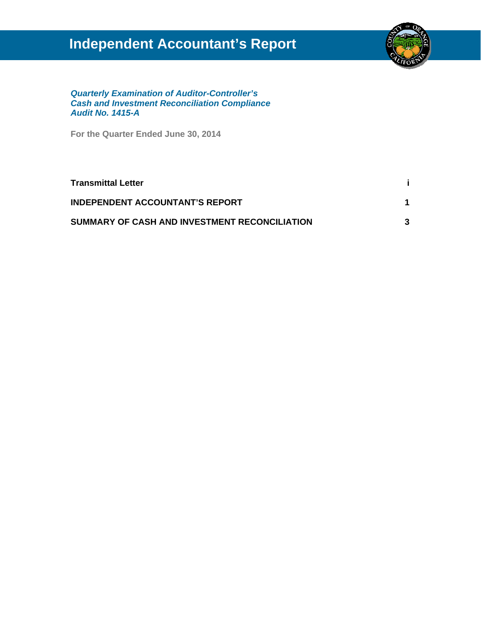# **Independent Accountant's Report**



*Quarterly Examination of Auditor-Controller's Cash and Investment Reconciliation Compliance Audit No. 1415-A* 

**For the Quarter Ended June 30, 2014** 

| <b>Transmittal Letter</b>                     |  |
|-----------------------------------------------|--|
| <b>INDEPENDENT ACCOUNTANT'S REPORT</b>        |  |
| SUMMARY OF CASH AND INVESTMENT RECONCILIATION |  |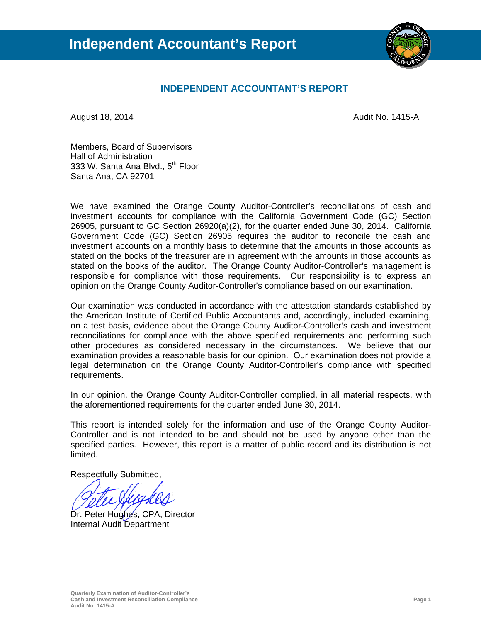

## **INDEPENDENT ACCOUNTANT'S REPORT**

August 18, 2014 **August 18, 2014** August 18, 2014

Members, Board of Supervisors Hall of Administration 333 W. Santa Ana Blvd., 5<sup>th</sup> Floor Santa Ana, CA 92701

We have examined the Orange County Auditor-Controller's reconciliations of cash and investment accounts for compliance with the California Government Code (GC) Section 26905, pursuant to GC Section 26920(a)(2), for the quarter ended June 30, 2014. California Government Code (GC) Section 26905 requires the auditor to reconcile the cash and investment accounts on a monthly basis to determine that the amounts in those accounts as stated on the books of the treasurer are in agreement with the amounts in those accounts as stated on the books of the auditor. The Orange County Auditor-Controller's management is responsible for compliance with those requirements. Our responsibility is to express an opinion on the Orange County Auditor-Controller's compliance based on our examination.

Our examination was conducted in accordance with the attestation standards established by the American Institute of Certified Public Accountants and, accordingly, included examining, on a test basis, evidence about the Orange County Auditor-Controller's cash and investment reconciliations for compliance with the above specified requirements and performing such other procedures as considered necessary in the circumstances. We believe that our examination provides a reasonable basis for our opinion. Our examination does not provide a legal determination on the Orange County Auditor-Controller's compliance with specified requirements.

In our opinion, the Orange County Auditor-Controller complied, in all material respects, with the aforementioned requirements for the quarter ended June 30, 2014.

This report is intended solely for the information and use of the Orange County Auditor-Controller and is not intended to be and should not be used by anyone other than the specified parties. However, this report is a matter of public record and its distribution is not limited.

Respectfully Submitted,

Dr. Peter Hughes, CPA, Director Internal Audit Department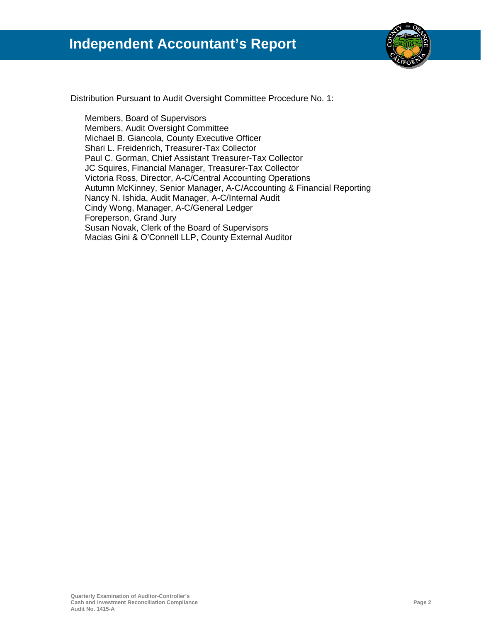

Distribution Pursuant to Audit Oversight Committee Procedure No. 1:

Members, Board of Supervisors Members, Audit Oversight Committee Michael B. Giancola, County Executive Officer Shari L. Freidenrich, Treasurer-Tax Collector Paul C. Gorman, Chief Assistant Treasurer-Tax Collector JC Squires, Financial Manager, Treasurer-Tax Collector Victoria Ross, Director, A-C/Central Accounting Operations Autumn McKinney, Senior Manager, A-C/Accounting & Financial Reporting Nancy N. Ishida, Audit Manager, A-C/Internal Audit Cindy Wong, Manager, A-C/General Ledger Foreperson, Grand Jury Susan Novak, Clerk of the Board of Supervisors Macias Gini & O'Connell LLP, County External Auditor